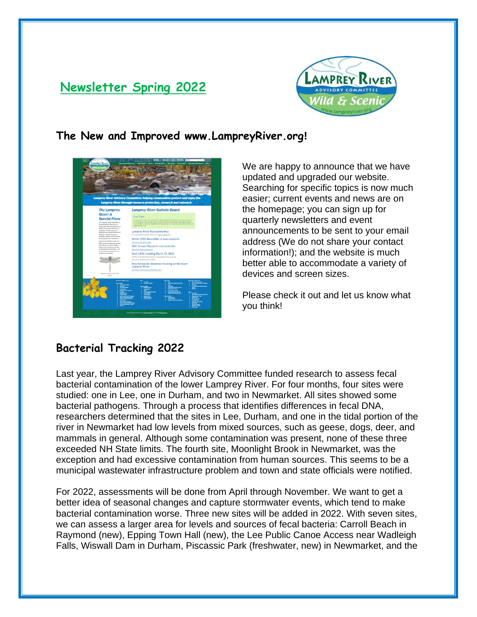# **Newsletter Spring 2022**



### **The New and Improved www.LampreyRiver.org!**



We are happy to announce that we have updated and upgraded our website. Searching for specific topics is now much easier; current events and news are on the homepage; you can sign up for quarterly newsletters and event announcements to be sent to your email address (We do not share your contact information!); and the website is much better able to accommodate a variety of devices and screen sizes.

Please check it out and let us know what you think!

## **Bacterial Tracking 2022**

Last year, the Lamprey River Advisory Committee funded research to assess fecal bacterial contamination of the lower Lamprey River. For four months, four sites were studied: one in Lee, one in Durham, and two in Newmarket. All sites showed some bacterial pathogens. Through a process that identifies differences in fecal DNA, researchers determined that the sites in Lee, Durham, and one in the tidal portion of the river in Newmarket had low levels from mixed sources, such as geese, dogs, deer, and mammals in general. Although some contamination was present, none of these three exceeded NH State limits. The fourth site, Moonlight Brook in Newmarket, was the exception and had excessive contamination from human sources. This seems to be a municipal wastewater infrastructure problem and town and state officials were notified.

For 2022, assessments will be done from April through November. We want to get a better idea of seasonal changes and capture stormwater events, which tend to make bacterial contamination worse. Three new sites will be added in 2022. With seven sites, we can assess a larger area for levels and sources of fecal bacteria: Carroll Beach in Raymond (new), Epping Town Hall (new), the Lee Public Canoe Access near Wadleigh Falls, Wiswall Dam in Durham, Piscassic Park (freshwater, new) in Newmarket, and the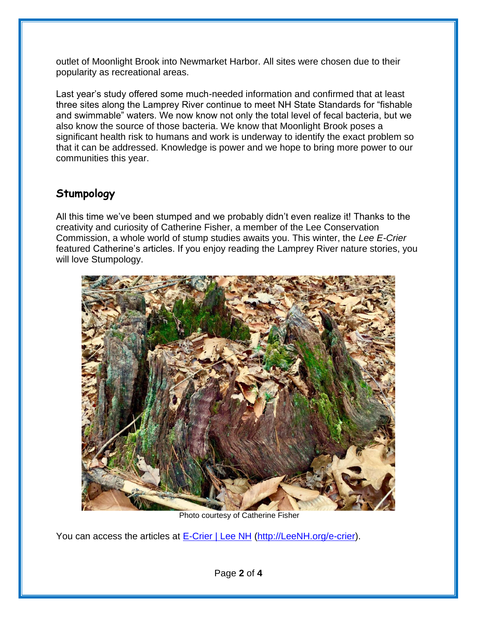outlet of Moonlight Brook into Newmarket Harbor. All sites were chosen due to their popularity as recreational areas.

Last year's study offered some much-needed information and confirmed that at least three sites along the Lamprey River continue to meet NH State Standards for "fishable and swimmable" waters. We now know not only the total level of fecal bacteria, but we also know the source of those bacteria. We know that Moonlight Brook poses a significant health risk to humans and work is underway to identify the exact problem so that it can be addressed. Knowledge is power and we hope to bring more power to our communities this year.

## **Stumpology**

All this time we've been stumped and we probably didn't even realize it! Thanks to the creativity and curiosity of Catherine Fisher, a member of the Lee Conservation Commission, a whole world of stump studies awaits you. This winter, the *Lee E-Crier* featured Catherine's articles. If you enjoy reading the Lamprey River nature stories, you will love Stumpology.



Photo courtesy of Catherine Fisher

You can access the articles at [E-Crier | Lee NH](https://www.leenh.org/e-crier) [\(http://LeeNH.org/e-crier\)](http://leenh.org/e-crier).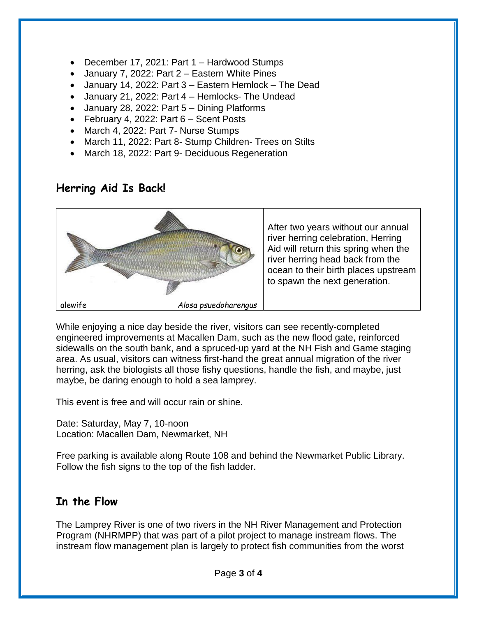- December 17, 2021: Part 1 Hardwood Stumps
- January 7, 2022: Part 2 Eastern White Pines
- January 14, 2022: Part 3 Eastern Hemlock The Dead
- January 21, 2022: Part 4 Hemlocks- The Undead
- January 28, 2022: Part 5 Dining Platforms
- February 4, 2022: Part 6 Scent Posts
- March 4, 2022: Part 7- Nurse Stumps
- March 11, 2022: Part 8- Stump Children- Trees on Stilts
- March 18, 2022: Part 9- Deciduous Regeneration

## **Herring Aid Is Back!**



While enjoying a nice day beside the river, visitors can see recently-completed engineered improvements at Macallen Dam, such as the new flood gate, reinforced sidewalls on the south bank, and a spruced-up yard at the NH Fish and Game staging area. As usual, visitors can witness first-hand the great annual migration of the river herring, ask the biologists all those fishy questions, handle the fish, and maybe, just maybe, be daring enough to hold a sea lamprey.

This event is free and will occur rain or shine.

Date: Saturday, May 7, 10-noon Location: Macallen Dam, Newmarket, NH

Free parking is available along Route 108 and behind the Newmarket Public Library. Follow the fish signs to the top of the fish ladder.

## **In the Flow**

The Lamprey River is one of two rivers in the NH River Management and Protection Program (NHRMPP) that was part of a pilot project to manage instream flows. The instream flow management plan is largely to protect fish communities from the worst